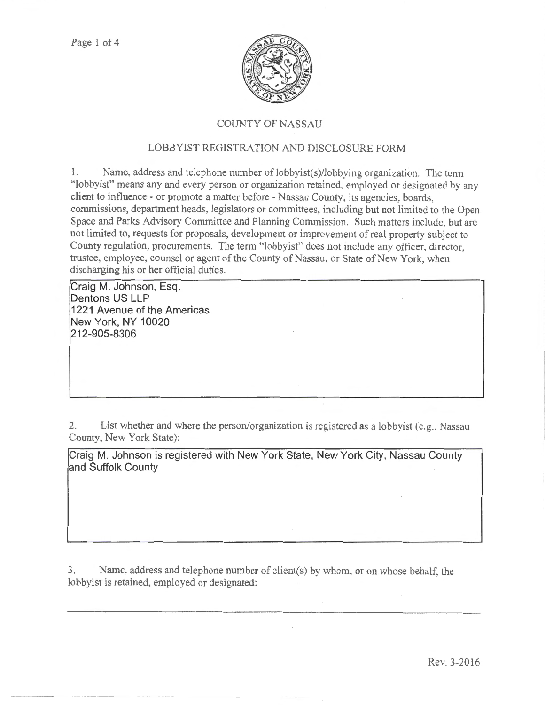

## COUNTY OF NASSAU

## LOBBYIST REGISTRATION AND DISCLOSURE FORM

1. Name. address and telephone number of lobbyist(s)/lobbying organization. The term "lobbyisf' means any and every person or organization retained, employed or designated by any client to intluence - or promote a matter before - Nassau County, its agencies, boards, commissions, department heads. legislators or committees, including but not limited to the Open Space and Parks Advisory Committee and Planning Commission. Such matters include. but arc not limited to, requests for proposals, development or improvement of real property subject to County regulation, procurements. The term "lobbyist" does not include any officer. director, trustee, employee, counsel or agent of the County of Nassau, or State of New York, when discharging his or her official duties.

**Craig M. Johnson, Esq. Dentons US LLP 1221 Avenue of the Americas New York, NY 10020 212-905-8306** 

2. List whether and where the person/organization is registered as a lobbyist (e.g., Nassau County, New York State):

**Craig M. Johnson is registered with New York State, New York City, Nassau County and Suffolk County** 

3. Name. address and telephone number of client(s) by whom, or on whose behalf, the lobbyist is retained, employed or designated: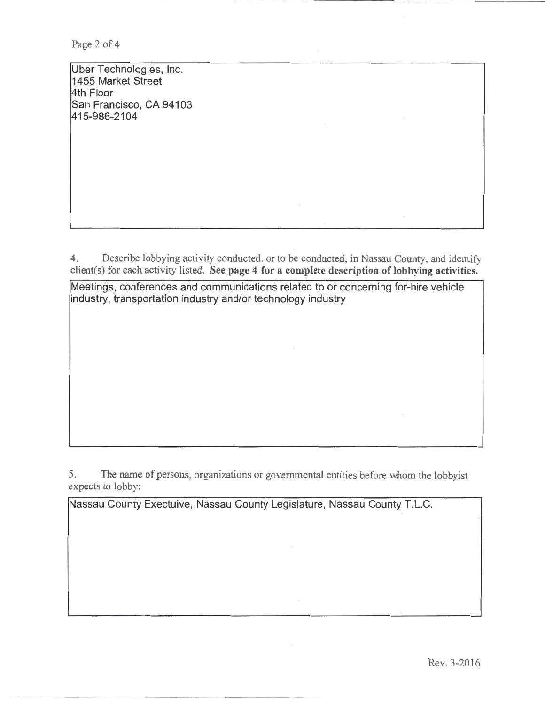Page 2 of 4

Uber Technologies, Inc. 1455 Market Street 4th Floor San Francisco, CA 94103 1415-986-2104

4. Describe lobbying activity conducted. or to be conducted, in Nassau County. and identify client(s) for each activity listed. See page 4 for a complete description of lobbying activities.

Meetings, conferences and communications related to or concerning for-hire vehicle industry, transportation industry and/or technology industry

5. The name of persons, organizations or govenunental entities before whom the lobbyist expects to lobby:

Nassau County Exectuive, Nassau County Legislature, Nassau County T.L.C.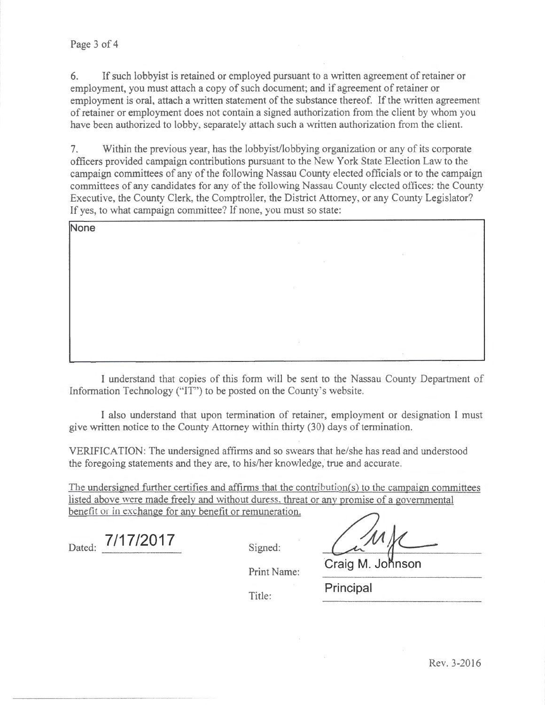6. If such lobbyist is retained or employed pursuant to a written agreement of retainer or employment, you must attach a copy of such document; and if agreement of retainer or employment is oral, attach a written statement of the substance thereof. If the written agreement of retainer or employment does not contain a signed authorization from the client by whom you have been authorized to lobby, separately attach such a written authorization from the client.

7. Within the previous year, has the lobbyist/lobbying organization or any of its corporate officers provided campaign contributions pursuant to the New York State Election Law to the campaign committees of any of the following Nassau County elected officials or to the campaign committees of any candidates tor any of the following Nassau County elected offices: the County Executive, the County Clerk, the Comptroller, the District Attorney, or any County Legislator? If yes, to what campaign committee? If none, you must so state:

| None |              |        |    |  |
|------|--------------|--------|----|--|
|      |              |        |    |  |
|      |              | $\sim$ | ٠. |  |
|      |              |        |    |  |
|      | <b>STATE</b> |        |    |  |
|      |              |        |    |  |
|      |              |        |    |  |
|      | <b>ALC</b>   |        |    |  |
|      |              |        | ٠. |  |

I understand that copies of this form will be sent to the Nassau County Department of Information Technology ("IT") to be posted on the County's website.

I also understand that upon termination of retainer, employment or designation I must give written notice to the County Attorney within thirty (30) days of termination.

VERlFICA TION: The undersigned affirms and so swears that he/she has read and understood the foregoing statements and they are, to his/her knowledge, true and accurate.

The undersigned further certifies and affinns that the contribution(s) to the campaign committees listed above were made freelv and without duress. threat or any promise of a governmental benefit or in exchange for any benefit or remuneration.

Dated: **7/17/2017** Signed:

Print Name: **Craig M. Johnson** 

Title: **Principal**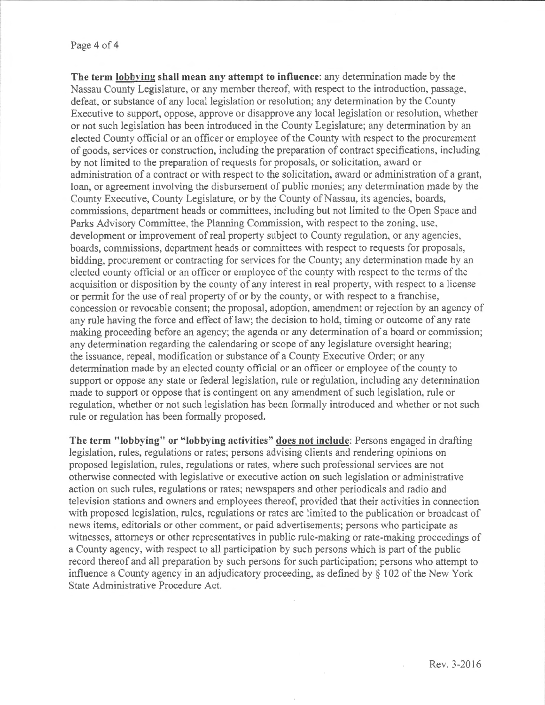**The term lobbying shall mean any attempt to influence:** any determination made by the Nassau County Legislature, or any member thereof, with respect to the introduction, passage, defeat, or substance of any local legislation or resolution; any determination by the County Executive to support, oppose, approve or disapprove any local legislation or resolution, whether or not such legislation has been introduced in the County Legislature; any determination by an elected County official or an officer or employee of the County with respect to the procurement of goods, services or construction, including the preparation of contract specifications, including by not limited to the preparation of requests for proposals, or solicitation, award or administration of a contract or with respect to the solicitation, award or administration of a grant, loan, or agreement involving the disbursement of public monies; any determination made by the County Executive, County Legislature, or by the County of Nassau, its agencies, boards, commissions, department heads or committees, including but not limited to the Open Space and Parks Advisory Committee. the Planning Commission, with respect to the zoning, use, development or improvement of real property subject to County regulation, or any agencies, boards, commissions, department heads or committees with respect to requests for proposals, bidding, procurement or contracting for services for the County; any determination made by an elected county official or an officer or employee of the county with respect to the terms of the acquisition or disposition by the county of any interest in real property, with respect to a license or pennit for the use of real property of or by the county, or with respect to a franchise, concession or revocable consent; the proposal, adoption, amendment or rejection by an agency of any rule having the force and effect of law; the decision to hold, timing or outcome of any rate making proceeding before an agency; the agenda or any determination of a board or commission; any determination regarding the calendaring or scope of any legislature oversight hearing; the issuance, repeal, modification or substance of a County Executive Order; or any determination made by an elected county official or an officer or employee of the county to support or oppose any state or federal legislation, rule or regulation, including any determination made to support or oppose that is contingent on any amendment of such legislation, mle or regulation, whether or not such legislation has been formally introduced and whether or not such rule or regulation has been formally proposed.

**The term "lobbying" or "lobbying activities" does not include:** Persons engaged in drafting legislation, rules, regulations or rates; persons advising clients and rendering opinions on proposed legislation, rules, regulations or rates, where such professional services are not otherwise connected with legislative or executive action on such legislation or administrative action on such rules, regulations or rates; newspapers and other periodicals and radio and television stations and owners and employees thereof, provided that their activities in connection with proposed legislation, rules, regulations or rates are limited to the publication or broadcast of news items, editorials or other comment, or paid advertisements; persons who participate as witnesses, attomcys or other representatives in public rule-making or rate-making proceedings of a County agency, with respect to all participation by such persons which is part of the public record thereof and all preparation by such persons for such participation; persons who attempt to influence a County agency in an adjudicatory proceeding, as defined by§ 102 of the New York State Administrative Procedure Act.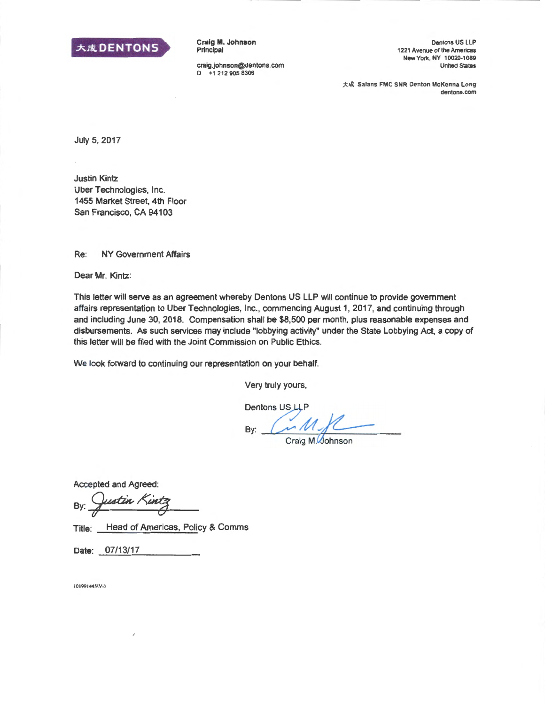

Craig M. Johnson Principal

craig.johnson@dentons.com 0 +1 212 905 8306

Dentons US LLP 1221 Avenue of the Americas New York. NY 10020·1089 United States

大成 Salans FMC SNR Denton McKenna Long dentons.com

July 5, 2017

Justin Kintz Uber Technologies, Inc. 1455 Market Street, 4th Floor San Francisco, CA 94103

Re: NY Government Affairs

Dear Mr. Kintz:

This letter will serve as an agreement whereby Dentons US LLP will continue to provide government affairs representation to Uber Technologies, Inc., commencing August 1, 2017, and continuing through and including June 30, 2018. Compensation shall be \$8,500 per month, plus reasonable expenses and disbursements. As such services may include "lobbying activity" under the State Lobbying Act, a copy of this letter will be filed with the Joint Commission on Public Ethics.

We look forward to continuing our representation on your behalf.

Very truly yours,

 $By: C.M.$ 

Craig M.Oohnson

Accepted and Agreed:

By: Justin Kintz

Title: Head of Americas, Policy & Comms

Date: 07/13/17

101991445\V-3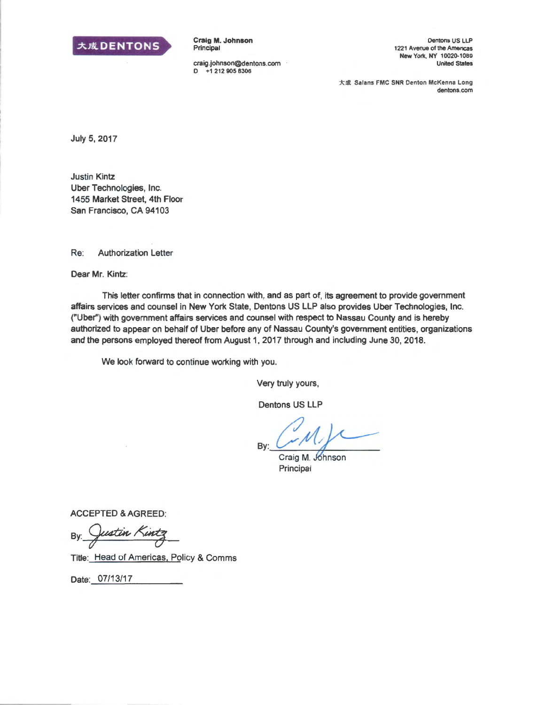

Craig M. Johnson Principal

craig.johnson@dentons.com 0 +1 212 905 8306

Dentons US LLP 1221 Avenue of the Americas New York, NY 10020.1089 United States

大成 Salans FMC SNR Denton McKenna Long dentons.com

July 5, 2017

Justin Kintz Uber Technologies, Inc. 1455 Market Street, 4th Floor San Francisco, CA 94103

Re: Authorization Letter

Dear Mr. Kintz:

This letter confirms that in connection with, and as part of, its agreement to provide government affairs services and counsel in New York State, Dentons US LLP also provides Uber Technologies, Inc. ("Uber") with government affairs services and counsel with respect to Nassau County and is hereby authorized to appear on behalf of Uber before any of Nassau County's government entities, organizations and the persons employed thereof from August 1, 2017 through and including June 30, 2018.

We look forward to continue working with you.

Very truly yours,

Dentons US LLP

By: Craig M. Johnson

Principal

ACCEPTED & AGREED:

ustin P By.

Title: Head of Americas, Policy & Comms

Date: 07/13/17